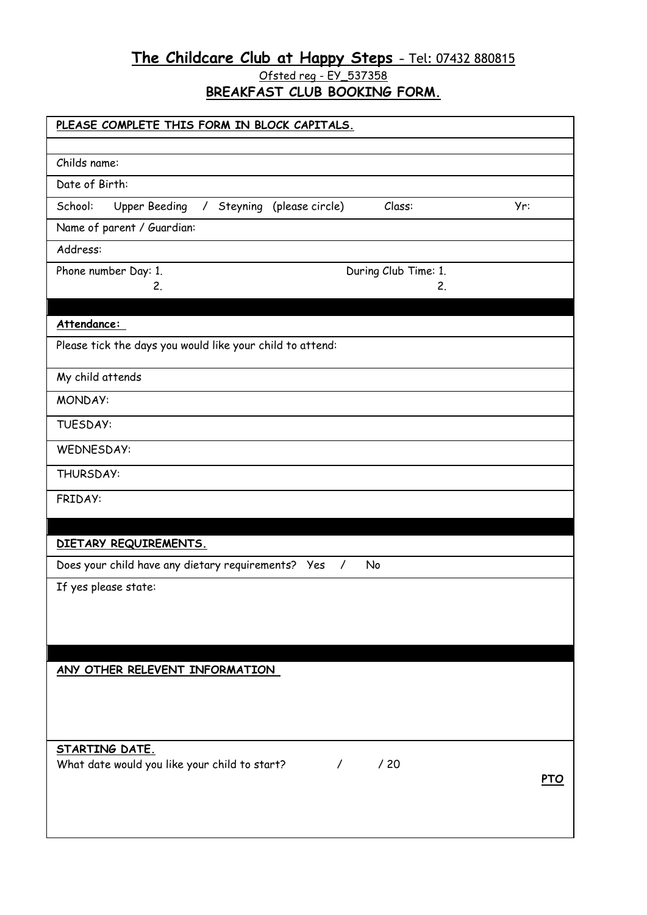# **The Childcare Club at Happy Steps –** [Tel: 0](tel:07557)7432 880815

<u> Ofsted reg - EY\_537358</u>

**BREAKFAST CLUB BOOKING FORM.**

| PLEASE COMPLETE THIS FORM IN BLOCK CAPITALS.                                               |     |
|--------------------------------------------------------------------------------------------|-----|
| Childs name:                                                                               |     |
| Date of Birth:                                                                             |     |
| School:<br><b>Upper Beeding</b><br>Steyning (please circle)<br>Class:<br>Yr:<br>$\sqrt{2}$ |     |
| Name of parent / Guardian:                                                                 |     |
| Address:                                                                                   |     |
|                                                                                            |     |
| During Club Time: 1.<br>Phone number Day: 1.<br>2.<br>2.                                   |     |
|                                                                                            |     |
| Attendance:                                                                                |     |
| Please tick the days you would like your child to attend:                                  |     |
| My child attends                                                                           |     |
| MONDAY:                                                                                    |     |
|                                                                                            |     |
| TUESDAY:                                                                                   |     |
| WEDNESDAY:                                                                                 |     |
| THURSDAY:                                                                                  |     |
| FRIDAY:                                                                                    |     |
|                                                                                            |     |
| DIETARY REQUIREMENTS.                                                                      |     |
| Does your child have any dietary requirements? Yes<br>No<br>$\prime$                       |     |
| If yes please state:                                                                       |     |
|                                                                                            |     |
|                                                                                            |     |
|                                                                                            |     |
| ANY OTHER RELEVENT INFORMATION                                                             |     |
|                                                                                            |     |
|                                                                                            |     |
|                                                                                            |     |
| STARTING DATE.<br>What date would you like your child to start?<br>/20<br>$\prime$         |     |
|                                                                                            | PTO |
|                                                                                            |     |
|                                                                                            |     |